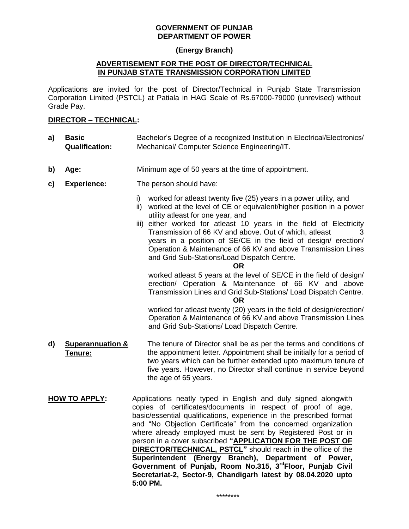#### **GOVERNMENT OF PUNJAB DEPARTMENT OF POWER**

### **(Energy Branch)**

#### **ADVERTISEMENT FOR THE POST OF DIRECTOR/TECHNICAL IN PUNJAB STATE TRANSMISSION CORPORATION LIMITED**

Applications are invited for the post of Director/Technical in Punjab State Transmission Corporation Limited (PSTCL) at Patiala in HAG Scale of Rs.67000-79000 (unrevised) without Grade Pay.

### **DIRECTOR – TECHNICAL:**

- **a) Basic Qualification:** Bachelor's Degree of a recognized Institution in Electrical/Electronics/ Mechanical/ Computer Science Engineering/IT.
- **b) Age:** Minimum age of 50 years at the time of appointment.
- **c) Experience:** The person should have:
	- i) worked for atleast twenty five (25) years in a power utility, and
	- ii) worked at the level of CE or equivalent/higher position in a power utility atleast for one year, and
	- iii) either worked for atleast 10 years in the field of Electricity Transmission of 66 KV and above. Out of which, atleast 3 years in a position of SE/CE in the field of design/ erection/ Operation & Maintenance of 66 KV and above Transmission Lines and Grid Sub-Stations/Load Dispatch Centre.
		- **OR**

worked atleast 5 years at the level of SE/CE in the field of design/ erection/ Operation & Maintenance of 66 KV and above Transmission Lines and Grid Sub-Stations/ Load Dispatch Centre.

**OR**

worked for atleast twenty (20) years in the field of design/erection/ Operation & Maintenance of 66 KV and above Transmission Lines and Grid Sub-Stations/ Load Dispatch Centre.

- **d) Superannuation & Tenure:** The tenure of Director shall be as per the terms and conditions of the appointment letter. Appointment shall be initially for a period of two years which can be further extended upto maximum tenure of five years. However, no Director shall continue in service beyond the age of 65 years.
- **HOW TO APPLY:** Applications neatly typed in English and duly signed alongwith copies of certificates/documents in respect of proof of age, basic/essential qualifications, experience in the prescribed format and "No Objection Certificate" from the concerned organization where already employed must be sent by Registered Post or in person in a cover subscribed **"APPLICATION FOR THE POST OF DIRECTOR/TECHNICAL, PSTCL"** should reach in the office of the **Superintendent (Energy Branch), Department of Power, Government of Punjab, Room No.315, 3rdFloor, Punjab Civil Secretariat-2, Sector-9, Chandigarh latest by 08.04.2020 upto 5:00 PM.**

\*\*\*\*\*\*\*\*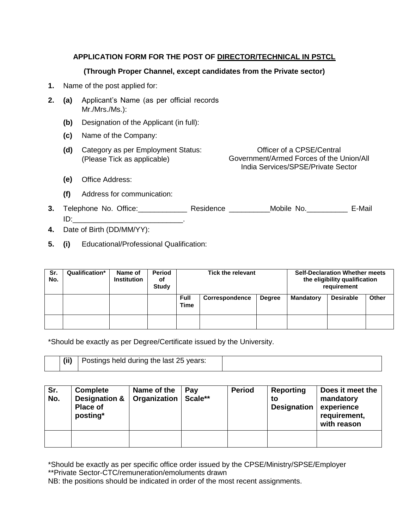# **APPLICATION FORM FOR THE POST OF DIRECTOR/TECHNICAL IN PSTCL**

## **(Through Proper Channel, except candidates from the Private sector)**

- **1.** Name of the post applied for:
- **2. (a)** Applicant's Name (as per official records Mr./Mrs./Ms.):
	- **(b)** Designation of the Applicant (in full):
	- **(c)** Name of the Company:
	- **(d)** Category as per Employment Status: (Please Tick as applicable)

Officer of a CPSE/Central Government/Armed Forces of the Union/All India Services/SPSE/Private Sector

- **(e)** Office Address:
- **(f)** Address for communication:
- **3.** Telephone No. Office:\_\_\_\_\_\_\_\_\_\_\_\_ Residence \_\_\_\_\_\_\_\_\_\_Mobile No.\_\_\_\_\_\_\_\_\_\_ E-Mail  $ID:$
- **4.** Date of Birth (DD/MM/YY):
- **5. (i)** Educational/Professional Qualification:

| Sr.<br>No. | Qualification* | Name of<br><b>Institution</b> | Period<br>οf<br><b>Study</b> | <b>Tick the relevant</b>   |                |               | <b>Self-Declaration Whether meets</b><br>the eligibility qualification<br>requirement |                  |              |
|------------|----------------|-------------------------------|------------------------------|----------------------------|----------------|---------------|---------------------------------------------------------------------------------------|------------------|--------------|
|            |                |                               |                              | <b>Full</b><br><b>Time</b> | Correspondence | <b>Degree</b> | <b>Mandatory</b>                                                                      | <b>Desirable</b> | <b>Other</b> |
|            |                |                               |                              |                            |                |               |                                                                                       |                  |              |

\*Should be exactly as per Degree/Certificate issued by the University.

| (ii) | Postings held during the last 25 years: |  |
|------|-----------------------------------------|--|
|      |                                         |  |

| Sr.<br>No. | Complete<br><b>Designation &amp;</b><br><b>Place of</b><br>posting* | Name of the<br>Organization | Pav<br>Scale** | <b>Period</b> | Reporting<br>to<br><b>Designation</b> | Does it meet the<br>mandatory<br>experience<br>requirement,<br>with reason |
|------------|---------------------------------------------------------------------|-----------------------------|----------------|---------------|---------------------------------------|----------------------------------------------------------------------------|
|            |                                                                     |                             |                |               |                                       |                                                                            |

\*Should be exactly as per specific office order issued by the CPSE/Ministry/SPSE/Employer \*\*Private Sector-CTC/remuneration/emoluments drawn

NB: the positions should be indicated in order of the most recent assignments.